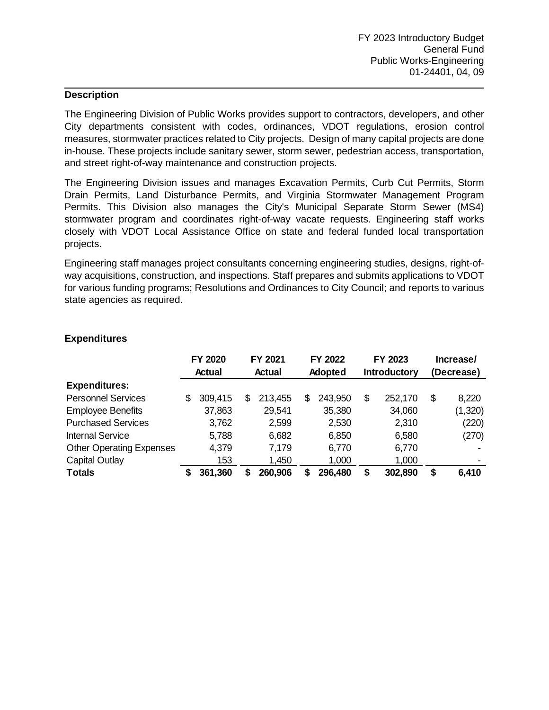The Engineering Division of Public Works provides support to contractors, developers, and other City departments consistent with codes, ordinances, VDOT regulations, erosion control measures, stormwater practices related to City projects. Design of many capital projects are done in-house. These projects include sanitary sewer, storm sewer, pedestrian access, transportation, and street right-of-way maintenance and construction projects.

The Engineering Division issues and manages Excavation Permits, Curb Cut Permits, Storm Drain Permits, Land Disturbance Permits, and Virginia Stormwater Management Program Permits. This Division also manages the City's Municipal Separate Storm Sewer (MS4) stormwater program and coordinates right-of-way vacate requests. Engineering staff works closely with VDOT Local Assistance Office on state and federal funded local transportation projects.

Engineering staff manages project consultants concerning engineering studies, designs, right-ofway acquisitions, construction, and inspections. Staff prepares and submits applications to VDOT for various funding programs; Resolutions and Ordinances to City Council; and reports to various state agencies as required.

|                                 |   | FY 2020 |    | FY 2021 |   | FY 2022 | FY 2023 |                     | Increase/ |                |
|---------------------------------|---|---------|----|---------|---|---------|---------|---------------------|-----------|----------------|
|                                 |   | Actual  |    | Actual  |   | Adopted |         | <b>Introductory</b> |           | (Decrease)     |
| <b>Expenditures:</b>            |   |         |    |         |   |         |         |                     |           |                |
| <b>Personnel Services</b>       | S | 309,415 | \$ | 213,455 | S | 243,950 | \$      | 252,170             | \$        | 8,220          |
| <b>Employee Benefits</b>        |   | 37,863  |    | 29,541  |   | 35,380  |         | 34,060              |           | (1,320)        |
| <b>Purchased Services</b>       |   | 3,762   |    | 2,599   |   | 2,530   |         | 2,310               |           | (220)          |
| <b>Internal Service</b>         |   | 5,788   |    | 6,682   |   | 6,850   |         | 6,580               |           | (270)          |
| <b>Other Operating Expenses</b> |   | 4,379   |    | 7,179   |   | 6,770   |         | 6,770               |           |                |
| <b>Capital Outlay</b>           |   | 153     |    | 1,450   |   | 1,000   |         | 1,000               |           | $\blacksquare$ |
| <b>Totals</b>                   |   | 361,360 | S  | 260,906 | S | 296,480 |         | 302,890             | S         | 6,410          |

### **Expenditures**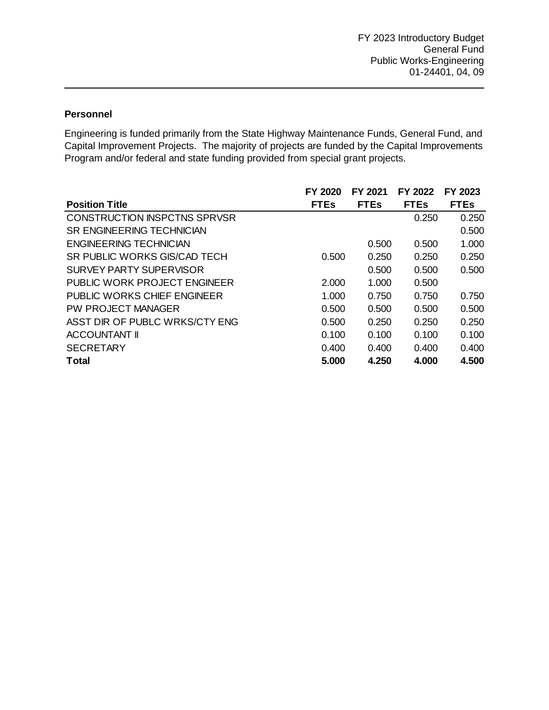## **Personnel**

Engineering is funded primarily from the State Highway Maintenance Funds, General Fund, and Capital Improvement Projects. The majority of projects are funded by the Capital Improvements Program and/or federal and state funding provided from special grant projects.

|                                     | FY 2020     | FY 2021     | FY 2022     | FY 2023     |
|-------------------------------------|-------------|-------------|-------------|-------------|
| <b>Position Title</b>               | <b>FTEs</b> | <b>FTEs</b> | <b>FTEs</b> | <b>FTEs</b> |
| <b>CONSTRUCTION INSPCTNS SPRVSR</b> |             |             | 0.250       | 0.250       |
| <b>SR ENGINEERING TECHNICIAN</b>    |             |             |             | 0.500       |
| ENGINEERING TECHNICIAN              |             | 0.500       | 0.500       | 1.000       |
| SR PUBLIC WORKS GIS/CAD TECH        | 0.500       | 0.250       | 0.250       | 0.250       |
| SURVEY PARTY SUPERVISOR             |             | 0.500       | 0.500       | 0.500       |
| <b>PUBLIC WORK PROJECT ENGINEER</b> | 2.000       | 1.000       | 0.500       |             |
| <b>PUBLIC WORKS CHIEF ENGINEER</b>  | 1.000       | 0.750       | 0.750       | 0.750       |
| <b>PW PROJECT MANAGER</b>           | 0.500       | 0.500       | 0.500       | 0.500       |
| ASST DIR OF PUBLC WRKS/CTY ENG      | 0.500       | 0.250       | 0.250       | 0.250       |
| <b>ACCOUNTANT II</b>                | 0.100       | 0.100       | 0.100       | 0.100       |
| <b>SECRETARY</b>                    | 0.400       | 0.400       | 0.400       | 0.400       |
| <b>Total</b>                        | 5.000       | 4.250       | 4.000       | 4.500       |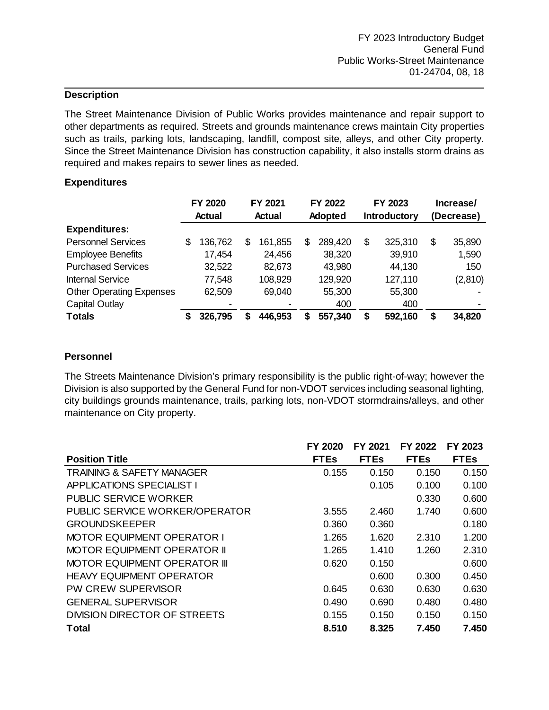The Street Maintenance Division of Public Works provides maintenance and repair support to other departments as required. Streets and grounds maintenance crews maintain City properties such as trails, parking lots, landscaping, landfill, compost site, alleys, and other City property. Since the Street Maintenance Division has construction capability, it also installs storm drains as required and makes repairs to sewer lines as needed.

#### **Expenditures**

|                                 |    | FY 2020 |    | FY 2021 |   | FY 2022 |    | FY 2023             | Increase/    |
|---------------------------------|----|---------|----|---------|---|---------|----|---------------------|--------------|
|                                 |    | Actual  |    | Actual  |   | Adopted |    | <b>Introductory</b> | (Decrease)   |
| <b>Expenditures:</b>            |    |         |    |         |   |         |    |                     |              |
| <b>Personnel Services</b>       | \$ | 136,762 | \$ | 161,855 | S | 289,420 | \$ | 325,310             | \$<br>35,890 |
| <b>Employee Benefits</b>        |    | 17,454  |    | 24,456  |   | 38,320  |    | 39,910              | 1,590        |
| <b>Purchased Services</b>       |    | 32,522  |    | 82,673  |   | 43,980  |    | 44,130              | 150          |
| <b>Internal Service</b>         |    | 77,548  |    | 108,929 |   | 129,920 |    | 127,110             | (2,810)      |
| <b>Other Operating Expenses</b> |    | 62,509  |    | 69,040  |   | 55,300  |    | 55,300              |              |
| <b>Capital Outlay</b>           |    |         |    |         |   | 400     |    | 400                 |              |
| <b>Totals</b>                   | S  | 326,795 | S  | 446,953 | S | 557,340 | S  | 592,160             | \$<br>34,820 |

#### **Personnel**

The Streets Maintenance Division's primary responsibility is the public right-of-way; however the Division is also supported by the General Fund for non-VDOT services including seasonal lighting, city buildings grounds maintenance, trails, parking lots, non-VDOT stormdrains/alleys, and other maintenance on City property.

|                                      | FY 2020     | FY 2021     | FY 2022     | FY 2023     |
|--------------------------------------|-------------|-------------|-------------|-------------|
| <b>Position Title</b>                | <b>FTEs</b> | <b>FTEs</b> | <b>FTEs</b> | <b>FTEs</b> |
| <b>TRAINING &amp; SAFETY MANAGER</b> | 0.155       | 0.150       | 0.150       | 0.150       |
| <b>APPLICATIONS SPECIALIST I</b>     |             | 0.105       | 0.100       | 0.100       |
| <b>PUBLIC SERVICE WORKER</b>         |             |             | 0.330       | 0.600       |
| PUBLIC SERVICE WORKER/OPERATOR       | 3.555       | 2.460       | 1.740       | 0.600       |
| <b>GROUNDSKEEPER</b>                 | 0.360       | 0.360       |             | 0.180       |
| <b>MOTOR EQUIPMENT OPERATOR I</b>    | 1.265       | 1.620       | 2.310       | 1.200       |
| <b>MOTOR EQUIPMENT OPERATOR II</b>   | 1.265       | 1.410       | 1.260       | 2.310       |
| <b>MOTOR EQUIPMENT OPERATOR III</b>  | 0.620       | 0.150       |             | 0.600       |
| <b>HEAVY EQUIPMENT OPERATOR</b>      |             | 0.600       | 0.300       | 0.450       |
| PW CREW SUPERVISOR                   | 0.645       | 0.630       | 0.630       | 0.630       |
| <b>GENERAL SUPERVISOR</b>            | 0.490       | 0.690       | 0.480       | 0.480       |
| DIVISION DIRECTOR OF STREETS         | 0.155       | 0.150       | 0.150       | 0.150       |
| Total                                | 8.510       | 8.325       | 7.450       | 7.450       |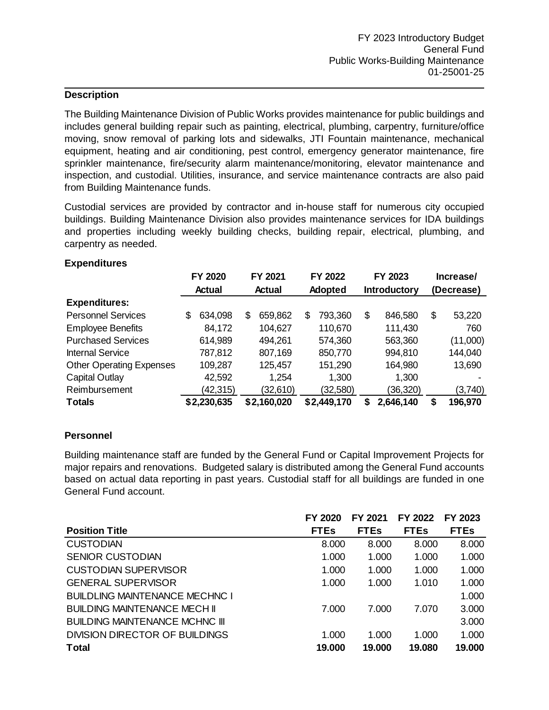The Building Maintenance Division of Public Works provides maintenance for public buildings and includes general building repair such as painting, electrical, plumbing, carpentry, furniture/office moving, snow removal of parking lots and sidewalks, JTI Fountain maintenance, mechanical equipment, heating and air conditioning, pest control, emergency generator maintenance, fire sprinkler maintenance, fire/security alarm maintenance/monitoring, elevator maintenance and inspection, and custodial. Utilities, insurance, and service maintenance contracts are also paid from Building Maintenance funds.

Custodial services are provided by contractor and in-house staff for numerous city occupied buildings. Building Maintenance Division also provides maintenance services for IDA buildings and properties including weekly building checks, building repair, electrical, plumbing, and carpentry as needed.

|                                 | FY 2020<br>Actual |             | FY 2021<br><b>Actual</b> |             | FY 2022<br>Adopted |             | FY 2023<br><b>Introductory</b> |           | Increase/<br>(Decrease) |          |
|---------------------------------|-------------------|-------------|--------------------------|-------------|--------------------|-------------|--------------------------------|-----------|-------------------------|----------|
| <b>Expenditures:</b>            |                   |             |                          |             |                    |             |                                |           |                         |          |
| <b>Personnel Services</b>       | S                 | 634,098     | \$                       | 659,862     | \$                 | 793,360     | \$                             | 846,580   | \$                      | 53,220   |
| <b>Employee Benefits</b>        |                   | 84,172      |                          | 104,627     |                    | 110,670     |                                | 111,430   |                         | 760      |
| <b>Purchased Services</b>       |                   | 614,989     |                          | 494,261     |                    | 574,360     |                                | 563,360   |                         | (11,000) |
| <b>Internal Service</b>         |                   | 787,812     |                          | 807,169     |                    | 850,770     |                                | 994,810   |                         | 144,040  |
| <b>Other Operating Expenses</b> |                   | 109,287     |                          | 125,457     |                    | 151,290     |                                | 164,980   |                         | 13,690   |
| <b>Capital Outlay</b>           |                   | 42,592      |                          | 1,254       |                    | 1,300       |                                | 1,300     |                         |          |
| Reimbursement                   |                   | (42, 315)   |                          | (32,610)    |                    | (32, 580)   |                                | (36, 320) |                         | (3,740)  |
| <b>Totals</b>                   |                   | \$2,230,635 |                          | \$2,160,020 |                    | \$2,449,170 | S                              | 2,646,140 | S                       | 196,970  |

#### **Expenditures**

### **Personnel**

Building maintenance staff are funded by the General Fund or Capital Improvement Projects for major repairs and renovations. Budgeted salary is distributed among the General Fund accounts based on actual data reporting in past years. Custodial staff for all buildings are funded in one General Fund account.

|                                       | FY 2020     | FY 2021     | FY 2022     | FY 2023     |
|---------------------------------------|-------------|-------------|-------------|-------------|
| <b>Position Title</b>                 | <b>FTEs</b> | <b>FTEs</b> | <b>FTEs</b> | <b>FTEs</b> |
| <b>CUSTODIAN</b>                      | 8.000       | 8.000       | 8.000       | 8.000       |
| <b>SENIOR CUSTODIAN</b>               | 1.000       | 1.000       | 1.000       | 1.000       |
| CUSTODIAN SUPERVISOR                  | 1.000       | 1.000       | 1.000       | 1.000       |
| <b>GENERAL SUPERVISOR</b>             | 1.000       | 1.000       | 1.010       | 1.000       |
| <b>BUILDLING MAINTENANCE MECHNC I</b> |             |             |             | 1.000       |
| <b>BUILDING MAINTENANCE MECH II</b>   | 7.000       | 7.000       | 7.070       | 3.000       |
| <b>BUILDING MAINTENANCE MCHNC III</b> |             |             |             | 3.000       |
| DIVISION DIRECTOR OF BUILDINGS        | 1.000       | 1.000       | 1.000       | 1.000       |
| <b>Total</b>                          | 19.000      | 19,000      | 19.080      | 19.000      |